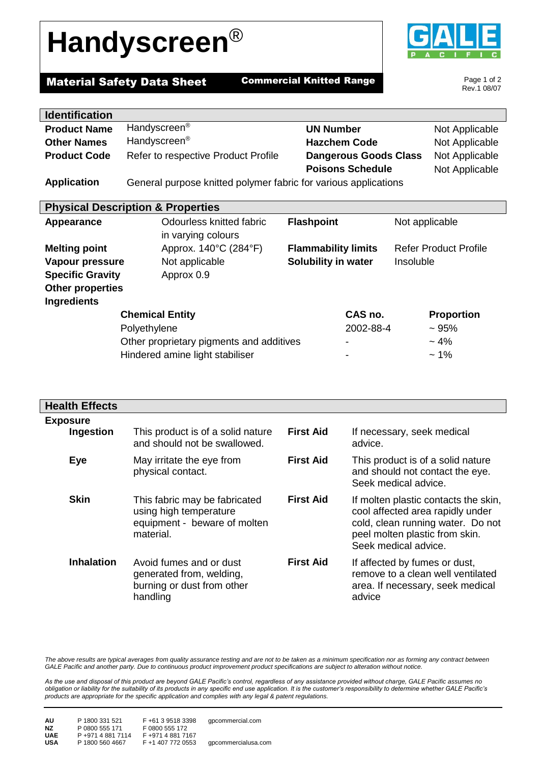## **Handyscreen**®



Page 1 of 2 Rev.1 08/07

 $\overline{\phantom{0}}$ 

## **Material Safety Data Sheet Commercial Knitted Range**

| <b>Identification</b>   |                                                                 |                              |                              |
|-------------------------|-----------------------------------------------------------------|------------------------------|------------------------------|
| <b>Product Name</b>     | Handyscreen <sup>®</sup>                                        | <b>UN Number</b>             | Not Applicable               |
| <b>Other Names</b>      | Handyscreen <sup>®</sup>                                        | <b>Hazchem Code</b>          | Not Applicable               |
| <b>Product Code</b>     | Refer to respective Product Profile                             | <b>Dangerous Goods Class</b> | Not Applicable               |
|                         |                                                                 | <b>Poisons Schedule</b>      | Not Applicable               |
| <b>Application</b>      | General purpose knitted polymer fabric for various applications |                              |                              |
|                         |                                                                 |                              |                              |
|                         | <b>Physical Description &amp; Properties</b>                    |                              |                              |
| Appearance              | Odourless knitted fabric                                        | <b>Flashpoint</b>            | Not applicable               |
|                         | in varying colours                                              |                              |                              |
| <b>Melting point</b>    | Approx. 140°C (284°F)                                           | <b>Flammability limits</b>   | <b>Refer Product Profile</b> |
| Vapour pressure         | Not applicable                                                  | Solubility in water          | Insoluble                    |
| <b>Specific Gravity</b> | Approx 0.9                                                      |                              |                              |
| <b>Other properties</b> |                                                                 |                              |                              |
| <b>Ingredients</b>      |                                                                 |                              |                              |
|                         | <b>Chemical Entity</b>                                          | CAS no.                      | <b>Proportion</b>            |
|                         | Polyethylene                                                    |                              | 2002-88-4<br>~1.95%          |
|                         | Other proprietary pigments and additives                        |                              | $~1\frac{4}{6}$              |
|                         | Hindered amine light stabiliser                                 |                              | $~1\%$                       |

| <b>Health Effects</b> |                                                                                                      |                  |                                                                                                                                                                         |
|-----------------------|------------------------------------------------------------------------------------------------------|------------------|-------------------------------------------------------------------------------------------------------------------------------------------------------------------------|
| <b>Exposure</b>       |                                                                                                      |                  |                                                                                                                                                                         |
| Ingestion             | This product is of a solid nature<br>and should not be swallowed.                                    | <b>First Aid</b> | If necessary, seek medical<br>advice.                                                                                                                                   |
| Eye                   | May irritate the eye from<br>physical contact.                                                       | <b>First Aid</b> | This product is of a solid nature<br>and should not contact the eye.<br>Seek medical advice.                                                                            |
| <b>Skin</b>           | This fabric may be fabricated<br>using high temperature<br>equipment - beware of molten<br>material. | <b>First Aid</b> | If molten plastic contacts the skin,<br>cool affected area rapidly under<br>cold, clean running water. Do not<br>peel molten plastic from skin.<br>Seek medical advice. |
| <b>Inhalation</b>     | Avoid fumes and or dust<br>generated from, welding,<br>burning or dust from other<br>handling        | <b>First Aid</b> | If affected by fumes or dust,<br>remove to a clean well ventilated<br>area. If necessary, seek medical<br>advice                                                        |

The above results are typical averages from quality assurance testing and are not to be taken as a minimum specification nor as forming any contract between *GALE Pacific and another party. Due to continuous product improvement product specifications are subject to alteration without notice.*

*As the use and disposal of this product are beyond GALE Pacific's control, regardless of any assistance provided without charge, GALE Pacific assumes no obligation or liability for the suitability of its products in any specific end use application. It is the customer's responsibility to determine whether GALE Pacific's products are appropriate for the specific application and complies with any legal & patent regulations.*